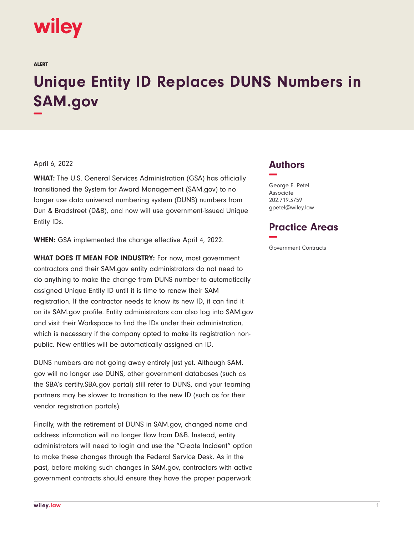# wiley

ALERT

# **Unique Entity ID Replaces DUNS Numbers in SAM.gov −**

#### April 6, 2022

**WHAT:** The U.S. General Services Administration (GSA) has officially transitioned the System for Award Management (SAM.gov) to no longer use data universal numbering system (DUNS) numbers from Dun & Bradstreet (D&B), and now will use government-issued Unique Entity IDs.

**WHEN:** GSA implemented the change effective April 4, 2022.

**WHAT DOES IT MEAN FOR INDUSTRY:** For now, most government contractors and their SAM.gov entity administrators do not need to do anything to make the change from DUNS number to automatically assigned Unique Entity ID until it is time to renew their SAM registration. If the contractor needs to know its new ID, it can find it on its SAM.gov profile. Entity administrators can also log into SAM.gov and visit their Workspace to find the IDs under their administration, which is necessary if the company opted to make its registration nonpublic. New entities will be automatically assigned an ID.

DUNS numbers are not going away entirely just yet. Although SAM. gov will no longer use DUNS, other government databases (such as the SBA's certify.SBA.gov portal) still refer to DUNS, and your teaming partners may be slower to transition to the new ID (such as for their vendor registration portals).

Finally, with the retirement of DUNS in SAM.gov, changed name and address information will no longer flow from D&B. Instead, entity administrators will need to login and use the "Create Incident" option to make these changes through the Federal Service Desk. As in the past, before making such changes in SAM.gov, contractors with active government contracts should ensure they have the proper paperwork

## **Authors −**

George E. Petel Associate 202.719.3759 gpetel@wiley.law

## **Practice Areas −**

Government Contracts